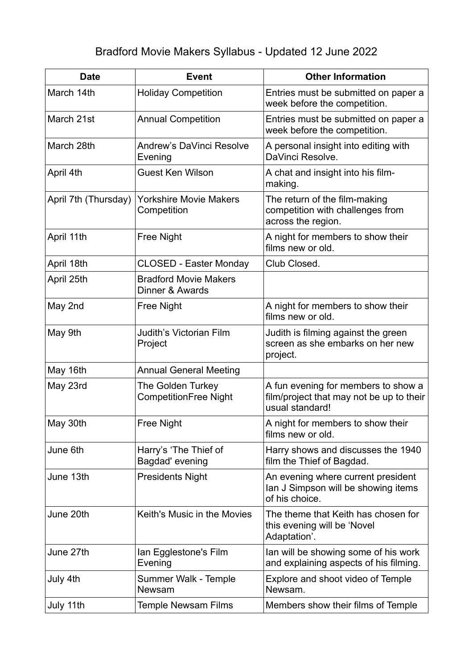## Bradford Movie Makers Syllabus - Updated 12 June 2022

| <b>Date</b>          | <b>Event</b>                                      | <b>Other Information</b>                                                                           |
|----------------------|---------------------------------------------------|----------------------------------------------------------------------------------------------------|
| March 14th           | <b>Holiday Competition</b>                        | Entries must be submitted on paper a<br>week before the competition.                               |
| March 21st           | <b>Annual Competition</b>                         | Entries must be submitted on paper a<br>week before the competition.                               |
| March 28th           | <b>Andrew's DaVinci Resolve</b><br>Evening        | A personal insight into editing with<br>DaVinci Resolve.                                           |
| April 4th            | <b>Guest Ken Wilson</b>                           | A chat and insight into his film-<br>making.                                                       |
| April 7th (Thursday) | <b>Yorkshire Movie Makers</b><br>Competition      | The return of the film-making<br>competition with challenges from<br>across the region.            |
| April 11th           | <b>Free Night</b>                                 | A night for members to show their<br>films new or old.                                             |
| April 18th           | <b>CLOSED - Easter Monday</b>                     | Club Closed.                                                                                       |
| April 25th           | <b>Bradford Movie Makers</b><br>Dinner & Awards   |                                                                                                    |
| May 2nd              | <b>Free Night</b>                                 | A night for members to show their<br>films new or old.                                             |
| May 9th              | <b>Judith's Victorian Film</b><br>Project         | Judith is filming against the green<br>screen as she embarks on her new<br>project.                |
| May 16th             | <b>Annual General Meeting</b>                     |                                                                                                    |
| May 23rd             | The Golden Turkey<br><b>CompetitionFree Night</b> | A fun evening for members to show a<br>film/project that may not be up to their<br>usual standard! |
| May 30th             | <b>Free Night</b>                                 | A night for members to show their<br>films new or old.                                             |
| June 6th             | Harry's 'The Thief of<br>Bagdad' evening          | Harry shows and discusses the 1940<br>film the Thief of Bagdad.                                    |
| June 13th            | <b>Presidents Night</b>                           | An evening where current president<br>Ian J Simpson will be showing items<br>of his choice.        |
| June 20th            | Keith's Music in the Movies                       | The theme that Keith has chosen for<br>this evening will be 'Novel<br>Adaptation'.                 |
| June 27th            | Ian Egglestone's Film<br>Evening                  | lan will be showing some of his work<br>and explaining aspects of his filming.                     |
| July 4th             | Summer Walk - Temple<br>Newsam                    | Explore and shoot video of Temple<br>Newsam.                                                       |
| July 11th            | <b>Temple Newsam Films</b>                        | Members show their films of Temple                                                                 |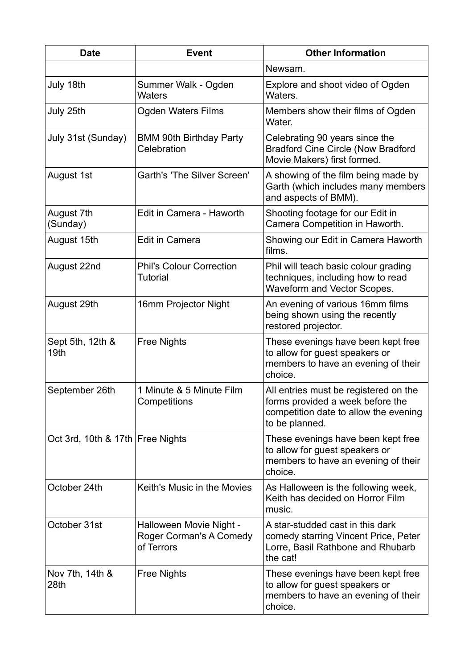| <b>Date</b>                      | <b>Event</b>                                                     | <b>Other Information</b>                                                                                                             |
|----------------------------------|------------------------------------------------------------------|--------------------------------------------------------------------------------------------------------------------------------------|
|                                  |                                                                  | Newsam.                                                                                                                              |
| July 18th                        | Summer Walk - Ogden<br>Waters                                    | Explore and shoot video of Ogden<br>Waters.                                                                                          |
| July 25th                        | <b>Ogden Waters Films</b>                                        | Members show their films of Ogden<br>Water.                                                                                          |
| July 31st (Sunday)               | <b>BMM 90th Birthday Party</b><br>Celebration                    | Celebrating 90 years since the<br><b>Bradford Cine Circle (Now Bradford</b><br>Movie Makers) first formed.                           |
| August 1st                       | <b>Garth's 'The Silver Screen'</b>                               | A showing of the film being made by<br>Garth (which includes many members<br>and aspects of BMM).                                    |
| August 7th<br>(Sunday)           | Edit in Camera - Haworth                                         | Shooting footage for our Edit in<br>Camera Competition in Haworth.                                                                   |
| August 15th                      | <b>Edit in Camera</b>                                            | Showing our Edit in Camera Haworth<br>films.                                                                                         |
| August 22nd                      | <b>Phil's Colour Correction</b><br><b>Tutorial</b>               | Phil will teach basic colour grading<br>techniques, including how to read<br>Waveform and Vector Scopes.                             |
| August 29th                      | 16mm Projector Night                                             | An evening of various 16mm films<br>being shown using the recently<br>restored projector.                                            |
| Sept 5th, 12th &<br>19th         | <b>Free Nights</b>                                               | These evenings have been kept free<br>to allow for guest speakers or<br>members to have an evening of their<br>choice.               |
| September 26th                   | 1 Minute & 5 Minute Film<br>Competitions                         | All entries must be registered on the<br>forms provided a week before the<br>competition date to allow the evening<br>to be planned. |
| Oct 3rd, 10th & 17th Free Nights |                                                                  | These evenings have been kept free<br>to allow for guest speakers or<br>members to have an evening of their<br>choice.               |
| October 24th                     | Keith's Music in the Movies                                      | As Halloween is the following week,<br>Keith has decided on Horror Film<br>music.                                                    |
| October 31st                     | Halloween Movie Night -<br>Roger Corman's A Comedy<br>of Terrors | A star-studded cast in this dark<br>comedy starring Vincent Price, Peter<br>Lorre, Basil Rathbone and Rhubarb<br>the cat!            |
| Nov 7th, 14th &<br>28th          | <b>Free Nights</b>                                               | These evenings have been kept free<br>to allow for guest speakers or<br>members to have an evening of their<br>choice.               |